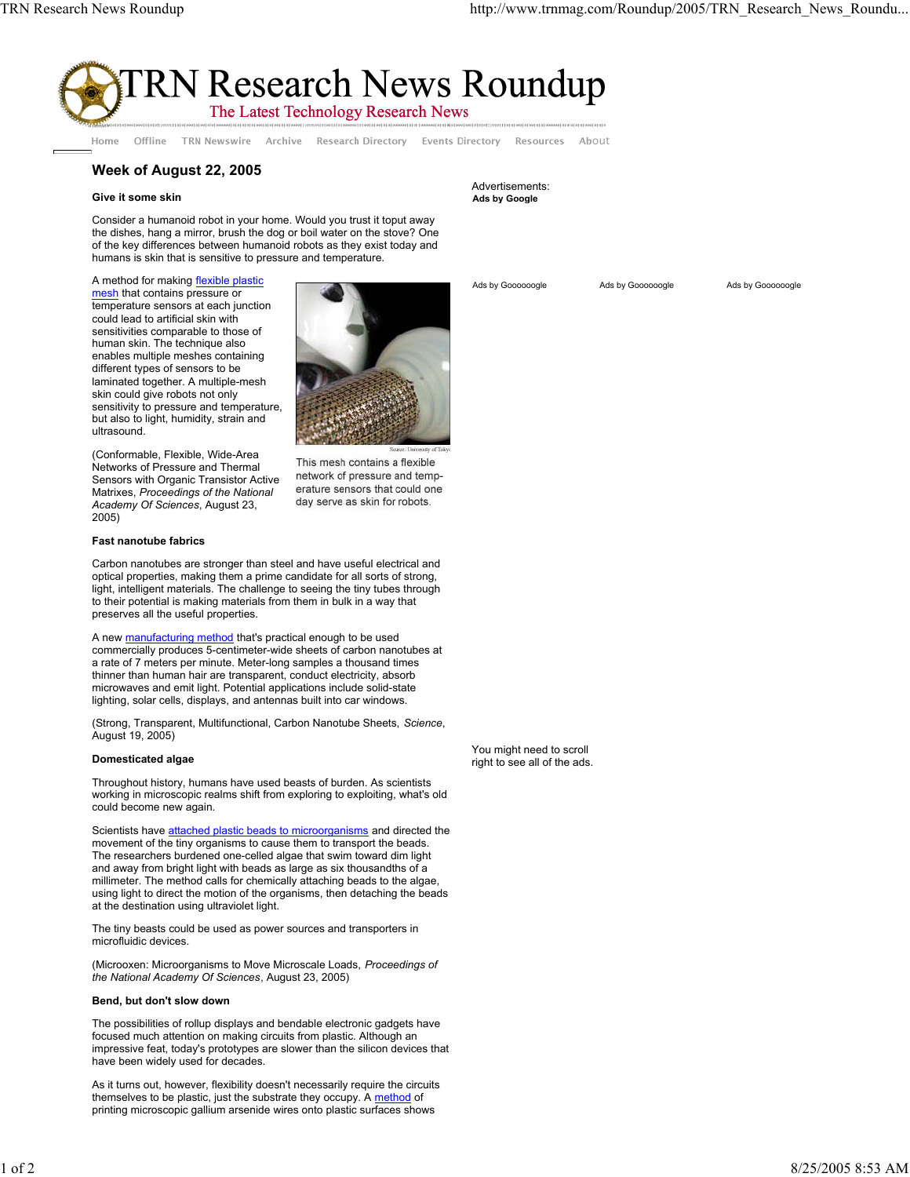

Offline TRN Newswire Archive Research Directory Events Directory Resources Home

# **Week of August 22, 2005**

## **Give it some skin**

Consider a humanoid robot in your home. Would you trust it toput away the dishes, hang a mirror, brush the dog or boil water on the stove? One of the key differences between humanoid robots as they exist today and humans is skin that is sensitive to pressure and temperature.

A method for making flexible plastic mesh that contains pressure or temperature sensors at each junction could lead to artificial skin with sensitivities comparable to those of human skin. The technique also enables multiple meshes containing different types of sensors to be laminated together. A multiple-mesh skin could give robots not only sensitivity to pressure and temperature, but also to light, humidity, strain and ultrasound.



(Conformable, Flexible, Wide-Area Networks of Pressure and Thermal Sensors with Organic Transistor Active Matrixes, *Proceedings of the National Academy Of Sciences*, August 23, 2005)

This mesh contains a flexible network of pressure and temperature sensors that could one day serve as skin for robots.

## **Fast nanotube fabrics**

Carbon nanotubes are stronger than steel and have useful electrical and optical properties, making them a prime candidate for all sorts of strong, light, intelligent materials. The challenge to seeing the tiny tubes through to their potential is making materials from them in bulk in a way that preserves all the useful properties.

A new **manufacturing method** that's practical enough to be used commercially produces 5-centimeter-wide sheets of carbon nanotubes at a rate of 7 meters per minute. Meter-long samples a thousand times thinner than human hair are transparent, conduct electricity, absorb microwaves and emit light. Potential applications include solid-state lighting, solar cells, displays, and antennas built into car windows.

(Strong, Transparent, Multifunctional, Carbon Nanotube Sheets, *Science*, August 19, 2005)

## **Domesticated algae**

Throughout history, humans have used beasts of burden. As scientists working in microscopic realms shift from exploring to exploiting, what's old could become new again.

Scientists have attached plastic beads to microorganisms and directed the movement of the tiny organisms to cause them to transport the beads. The researchers burdened one-celled algae that swim toward dim light and away from bright light with beads as large as six thousandths of a millimeter. The method calls for chemically attaching beads to the algae, using light to direct the motion of the organisms, then detaching the beads at the destination using ultraviolet light.

The tiny beasts could be used as power sources and transporters in microfluidic devices.

(Microoxen: Microorganisms to Move Microscale Loads, *Proceedings of the National Academy Of Sciences*, August 23, 2005)

### **Bend, but don't slow down**

The possibilities of rollup displays and bendable electronic gadgets have focused much attention on making circuits from plastic. Although an impressive feat, today's prototypes are slower than the silicon devices that have been widely used for decades.

As it turns out, however, flexibility doesn't necessarily require the circuits themselves to be plastic, just the substrate they occupy. A method of printing microscopic gallium arsenide wires onto plastic surfaces shows

#### Advertisements: **Ads by Google**

Ads by Goooooogle Ads by Goooooogle Ads by Goooooogle

About

You might need to scroll right to see all of the ads.